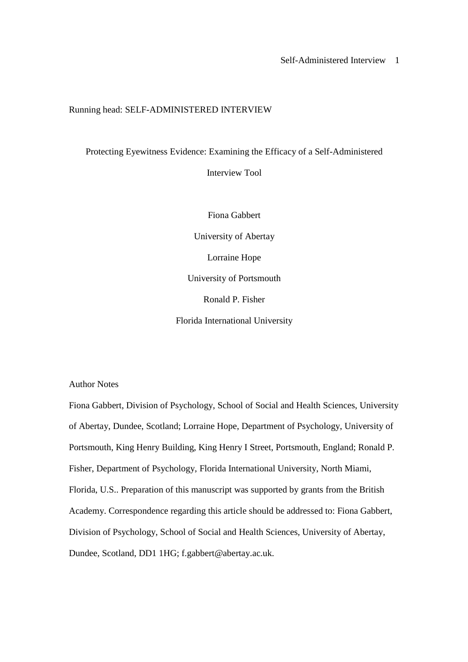# Running head: SELF-ADMINISTERED INTERVIEW

Protecting Eyewitness Evidence: Examining the Efficacy of a Self-Administered

Interview Tool

Fiona Gabbert University of Abertay Lorraine Hope University of Portsmouth Ronald P. Fisher Florida International University

Author Notes

Fiona Gabbert, Division of Psychology, School of Social and Health Sciences, University of Abertay, Dundee, Scotland; Lorraine Hope, Department of Psychology, University of Portsmouth, King Henry Building, King Henry I Street, Portsmouth, England; Ronald P. Fisher, Department of Psychology, Florida International University, North Miami, Florida, U.S.. Preparation of this manuscript was supported by grants from the British Academy. Correspondence regarding this article should be addressed to: Fiona Gabbert, Division of Psychology, School of Social and Health Sciences, University of Abertay, Dundee, Scotland, DD1 1HG; f.gabbert@abertay.ac.uk.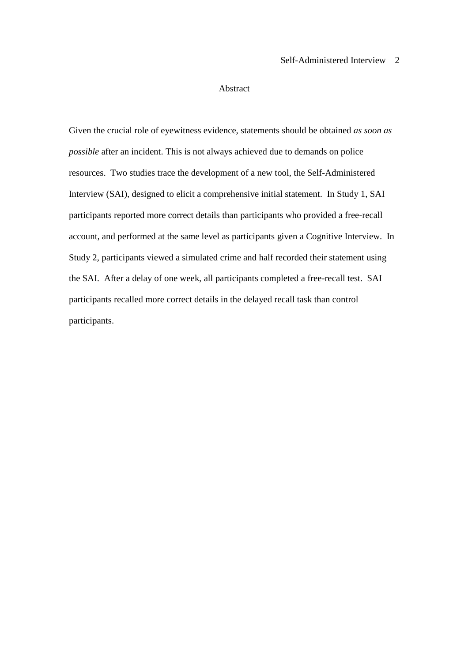### Abstract

Given the crucial role of eyewitness evidence, statements should be obtained *as soon as possible* after an incident. This is not always achieved due to demands on police resources. Two studies trace the development of a new tool, the Self-Administered Interview (SAI), designed to elicit a comprehensive initial statement. In Study 1, SAI participants reported more correct details than participants who provided a free-recall account, and performed at the same level as participants given a Cognitive Interview. In Study 2, participants viewed a simulated crime and half recorded their statement using the SAI. After a delay of one week, all participants completed a free-recall test. SAI participants recalled more correct details in the delayed recall task than control participants.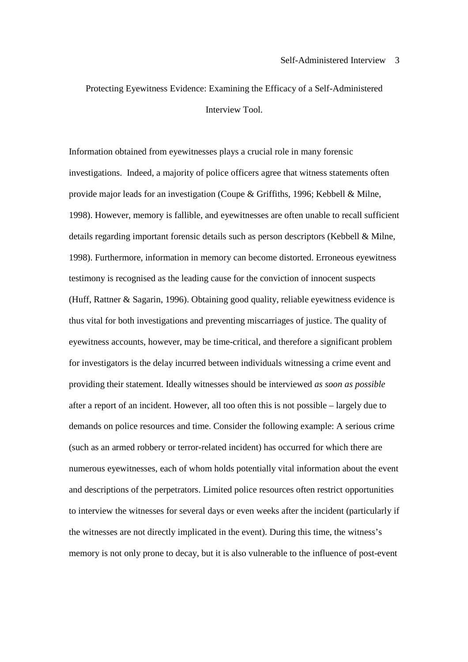Protecting Eyewitness Evidence: Examining the Efficacy of a Self-Administered Interview Tool.

Information obtained from eyewitnesses plays a crucial role in many forensic investigations. Indeed, a majority of police officers agree that witness statements often provide major leads for an investigation (Coupe & Griffiths, 1996; Kebbell & Milne, 1998). However, memory is fallible, and eyewitnesses are often unable to recall sufficient details regarding important forensic details such as person descriptors (Kebbell & Milne, 1998). Furthermore, information in memory can become distorted. Erroneous eyewitness testimony is recognised as the leading cause for the conviction of innocent suspects (Huff, Rattner & Sagarin, 1996). Obtaining good quality, reliable eyewitness evidence is thus vital for both investigations and preventing miscarriages of justice. The quality of eyewitness accounts, however, may be time-critical, and therefore a significant problem for investigators is the delay incurred between individuals witnessing a crime event and providing their statement. Ideally witnesses should be interviewed *as soon as possible* after a report of an incident. However, all too often this is not possible – largely due to demands on police resources and time. Consider the following example: A serious crime (such as an armed robbery or terror-related incident) has occurred for which there are numerous eyewitnesses, each of whom holds potentially vital information about the event and descriptions of the perpetrators. Limited police resources often restrict opportunities to interview the witnesses for several days or even weeks after the incident (particularly if the witnesses are not directly implicated in the event). During this time, the witness's memory is not only prone to decay, but it is also vulnerable to the influence of post-event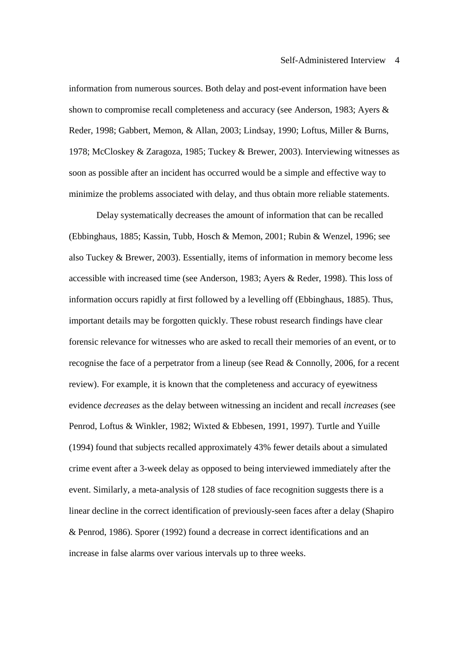information from numerous sources. Both delay and post-event information have been shown to compromise recall completeness and accuracy (see Anderson, 1983; Ayers & Reder, 1998; Gabbert, Memon, & Allan, 2003; Lindsay, 1990; Loftus, Miller & Burns, 1978; McCloskey & Zaragoza, 1985; Tuckey & Brewer, 2003). Interviewing witnesses as soon as possible after an incident has occurred would be a simple and effective way to minimize the problems associated with delay, and thus obtain more reliable statements.

Delay systematically decreases the amount of information that can be recalled (Ebbinghaus, 1885; Kassin, Tubb, Hosch & Memon, 2001; Rubin & Wenzel, 1996; see also Tuckey & Brewer, 2003). Essentially, items of information in memory become less accessible with increased time (see Anderson, 1983; Ayers & Reder, 1998). This loss of information occurs rapidly at first followed by a levelling off (Ebbinghaus, 1885). Thus, important details may be forgotten quickly. These robust research findings have clear forensic relevance for witnesses who are asked to recall their memories of an event, or to recognise the face of a perpetrator from a lineup (see Read & Connolly, 2006, for a recent review). For example, it is known that the completeness and accuracy of eyewitness evidence *decreases* as the delay between witnessing an incident and recall *increases* (see Penrod, Loftus & Winkler, 1982; Wixted & Ebbesen, 1991, 1997). Turtle and Yuille (1994) found that subjects recalled approximately 43% fewer details about a simulated crime event after a 3-week delay as opposed to being interviewed immediately after the event. Similarly, a meta-analysis of 128 studies of face recognition suggests there is a linear decline in the correct identification of previously-seen faces after a delay (Shapiro & Penrod, 1986). Sporer (1992) found a decrease in correct identifications and an increase in false alarms over various intervals up to three weeks.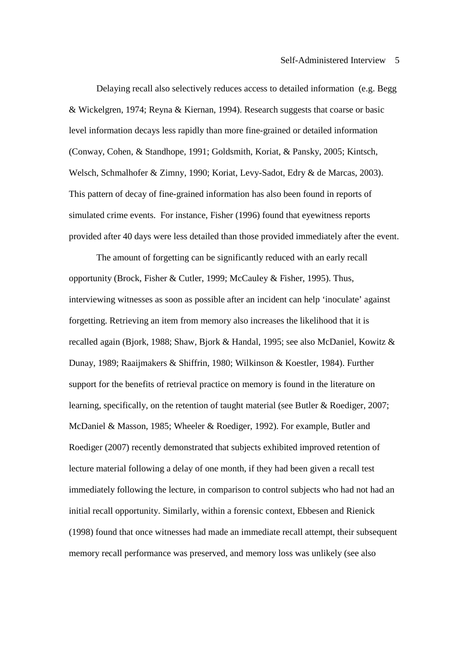Delaying recall also selectively reduces access to detailed information (e.g. Begg & Wickelgren, 1974; Reyna & Kiernan, 1994). Research suggests that coarse or basic level information decays less rapidly than more fine-grained or detailed information (Conway, Cohen, & Standhope, 1991; Goldsmith, Koriat, & Pansky, 2005; Kintsch, Welsch, Schmalhofer & Zimny, 1990; Koriat, Levy-Sadot, Edry & de Marcas, 2003). This pattern of decay of fine-grained information has also been found in reports of simulated crime events. For instance, Fisher (1996) found that eyewitness reports provided after 40 days were less detailed than those provided immediately after the event.

The amount of forgetting can be significantly reduced with an early recall opportunity (Brock, Fisher & Cutler, 1999; McCauley & Fisher, 1995). Thus, interviewing witnesses as soon as possible after an incident can help 'inoculate' against forgetting. Retrieving an item from memory also increases the likelihood that it is recalled again (Bjork, 1988; Shaw, Bjork & Handal, 1995; see also McDaniel, Kowitz & Dunay, 1989; Raaijmakers & Shiffrin, 1980; Wilkinson & Koestler, 1984). Further support for the benefits of retrieval practice on memory is found in the literature on learning, specifically, on the retention of taught material (see Butler & Roediger, 2007; McDaniel & Masson, 1985; Wheeler & Roediger, 1992). For example, Butler and Roediger (2007) recently demonstrated that subjects exhibited improved retention of lecture material following a delay of one month, if they had been given a recall test immediately following the lecture, in comparison to control subjects who had not had an initial recall opportunity. Similarly, within a forensic context, Ebbesen and Rienick (1998) found that once witnesses had made an immediate recall attempt, their subsequent memory recall performance was preserved, and memory loss was unlikely (see also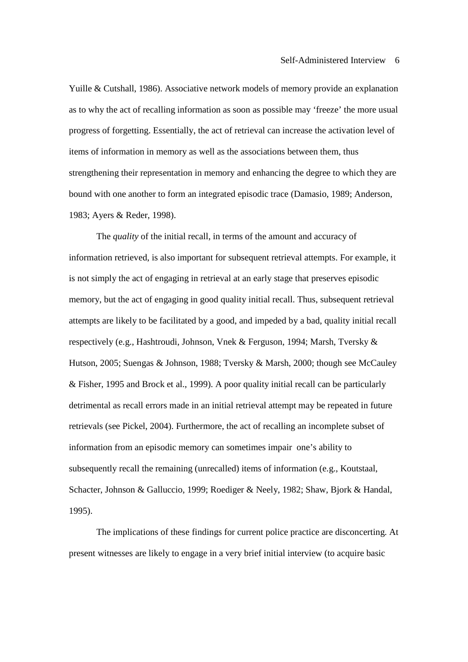Yuille & Cutshall, 1986). Associative network models of memory provide an explanation as to why the act of recalling information as soon as possible may 'freeze' the more usual progress of forgetting. Essentially, the act of retrieval can increase the activation level of items of information in memory as well as the associations between them, thus strengthening their representation in memory and enhancing the degree to which they are bound with one another to form an integrated episodic trace (Damasio, 1989; Anderson, 1983; Ayers & Reder, 1998).

The *quality* of the initial recall, in terms of the amount and accuracy of information retrieved, is also important for subsequent retrieval attempts. For example, it is not simply the act of engaging in retrieval at an early stage that preserves episodic memory, but the act of engaging in good quality initial recall. Thus, subsequent retrieval attempts are likely to be facilitated by a good, and impeded by a bad, quality initial recall respectively (e.g., Hashtroudi, Johnson, Vnek & Ferguson, 1994; Marsh, Tversky & Hutson, 2005; Suengas & Johnson, 1988; Tversky & Marsh, 2000; though see McCauley & Fisher, 1995 and Brock et al., 1999). A poor quality initial recall can be particularly detrimental as recall errors made in an initial retrieval attempt may be repeated in future retrievals (see Pickel, 2004). Furthermore, the act of recalling an incomplete subset of information from an episodic memory can sometimes impair one's ability to subsequently recall the remaining (unrecalled) items of information (e.g., Koutstaal, Schacter, Johnson & Galluccio, 1999; Roediger & Neely, 1982; Shaw, Bjork & Handal, 1995).

The implications of these findings for current police practice are disconcerting. At present witnesses are likely to engage in a very brief initial interview (to acquire basic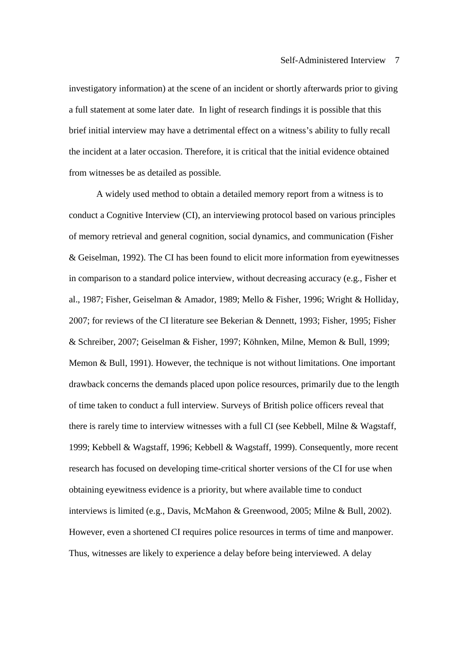investigatory information) at the scene of an incident or shortly afterwards prior to giving a full statement at some later date. In light of research findings it is possible that this brief initial interview may have a detrimental effect on a witness's ability to fully recall the incident at a later occasion. Therefore, it is critical that the initial evidence obtained from witnesses be as detailed as possible.

A widely used method to obtain a detailed memory report from a witness is to conduct a Cognitive Interview (CI), an interviewing protocol based on various principles of memory retrieval and general cognition, social dynamics, and communication (Fisher & Geiselman, 1992). The CI has been found to elicit more information from eyewitnesses in comparison to a standard police interview, without decreasing accuracy (e.g., Fisher et al., 1987; Fisher, Geiselman & Amador, 1989; Mello & Fisher, 1996; Wright & Holliday, 2007; for reviews of the CI literature see Bekerian & Dennett, 1993; Fisher, 1995; Fisher & Schreiber, 2007; Geiselman & Fisher, 1997; Köhnken, Milne, Memon & Bull, 1999; Memon & Bull, 1991). However, the technique is not without limitations. One important drawback concerns the demands placed upon police resources, primarily due to the length of time taken to conduct a full interview. Surveys of British police officers reveal that there is rarely time to interview witnesses with a full CI (see Kebbell, Milne & Wagstaff, 1999; Kebbell & Wagstaff, 1996; Kebbell & Wagstaff, 1999). Consequently, more recent research has focused on developing time-critical shorter versions of the CI for use when obtaining eyewitness evidence is a priority, but where available time to conduct interviews is limited (e.g., Davis, McMahon & Greenwood, 2005; Milne & Bull, 2002). However, even a shortened CI requires police resources in terms of time and manpower. Thus, witnesses are likely to experience a delay before being interviewed. A delay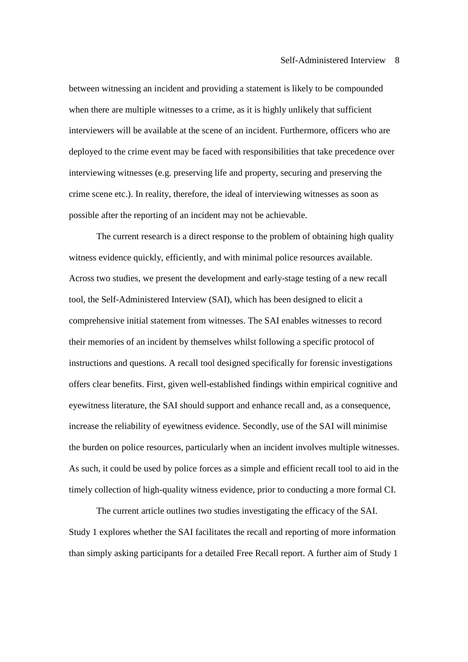between witnessing an incident and providing a statement is likely to be compounded when there are multiple witnesses to a crime, as it is highly unlikely that sufficient interviewers will be available at the scene of an incident. Furthermore, officers who are deployed to the crime event may be faced with responsibilities that take precedence over interviewing witnesses (e.g. preserving life and property, securing and preserving the crime scene etc.). In reality, therefore, the ideal of interviewing witnesses as soon as possible after the reporting of an incident may not be achievable.

The current research is a direct response to the problem of obtaining high quality witness evidence quickly, efficiently, and with minimal police resources available. Across two studies, we present the development and early-stage testing of a new recall tool, the Self-Administered Interview (SAI), which has been designed to elicit a comprehensive initial statement from witnesses. The SAI enables witnesses to record their memories of an incident by themselves whilst following a specific protocol of instructions and questions. A recall tool designed specifically for forensic investigations offers clear benefits. First, given well-established findings within empirical cognitive and eyewitness literature, the SAI should support and enhance recall and, as a consequence, increase the reliability of eyewitness evidence. Secondly, use of the SAI will minimise the burden on police resources, particularly when an incident involves multiple witnesses. As such, it could be used by police forces as a simple and efficient recall tool to aid in the timely collection of high-quality witness evidence, prior to conducting a more formal CI.

The current article outlines two studies investigating the efficacy of the SAI. Study 1 explores whether the SAI facilitates the recall and reporting of more information than simply asking participants for a detailed Free Recall report. A further aim of Study 1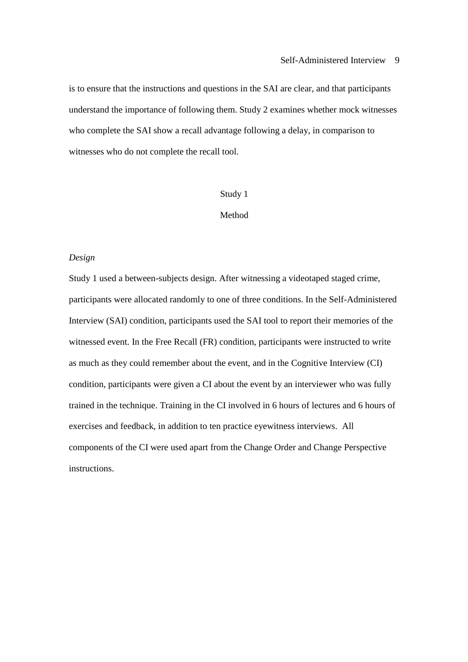is to ensure that the instructions and questions in the SAI are clear, and that participants understand the importance of following them. Study 2 examines whether mock witnesses who complete the SAI show a recall advantage following a delay, in comparison to witnesses who do not complete the recall tool.

#### Study 1

# Method

### *Design*

Study 1 used a between-subjects design. After witnessing a videotaped staged crime, participants were allocated randomly to one of three conditions. In the Self-Administered Interview (SAI) condition, participants used the SAI tool to report their memories of the witnessed event. In the Free Recall (FR) condition, participants were instructed to write as much as they could remember about the event, and in the Cognitive Interview (CI) condition, participants were given a CI about the event by an interviewer who was fully trained in the technique. Training in the CI involved in 6 hours of lectures and 6 hours of exercises and feedback, in addition to ten practice eyewitness interviews. All components of the CI were used apart from the Change Order and Change Perspective instructions.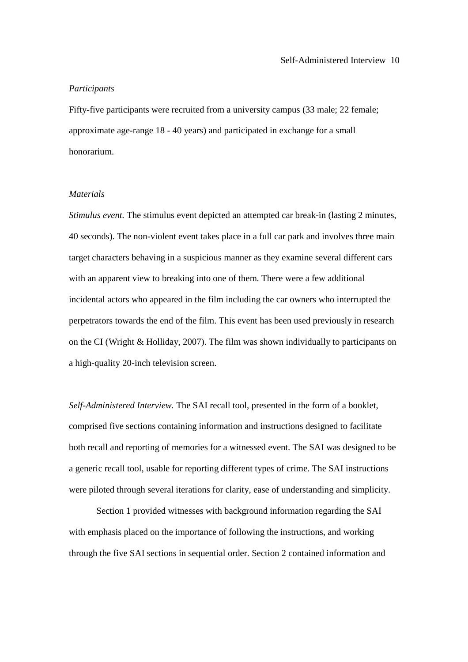#### *Participants*

Fifty-five participants were recruited from a university campus (33 male; 22 female; approximate age-range 18 - 40 years) and participated in exchange for a small honorarium.

## *Materials*

*Stimulus event.* The stimulus event depicted an attempted car break-in (lasting 2 minutes, 40 seconds). The non-violent event takes place in a full car park and involves three main target characters behaving in a suspicious manner as they examine several different cars with an apparent view to breaking into one of them. There were a few additional incidental actors who appeared in the film including the car owners who interrupted the perpetrators towards the end of the film. This event has been used previously in research on the CI (Wright & Holliday, 2007). The film was shown individually to participants on a high-quality 20-inch television screen.

*Self-Administered Interview.* The SAI recall tool, presented in the form of a booklet, comprised five sections containing information and instructions designed to facilitate both recall and reporting of memories for a witnessed event. The SAI was designed to be a generic recall tool, usable for reporting different types of crime. The SAI instructions were piloted through several iterations for clarity, ease of understanding and simplicity.

 Section 1 provided witnesses with background information regarding the SAI with emphasis placed on the importance of following the instructions, and working through the five SAI sections in sequential order. Section 2 contained information and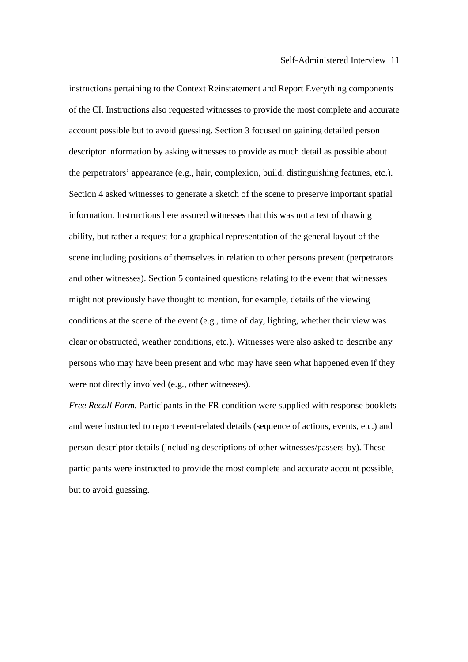instructions pertaining to the Context Reinstatement and Report Everything components of the CI. Instructions also requested witnesses to provide the most complete and accurate account possible but to avoid guessing. Section 3 focused on gaining detailed person descriptor information by asking witnesses to provide as much detail as possible about the perpetrators' appearance (e.g., hair, complexion, build, distinguishing features, etc.). Section 4 asked witnesses to generate a sketch of the scene to preserve important spatial information. Instructions here assured witnesses that this was not a test of drawing ability, but rather a request for a graphical representation of the general layout of the scene including positions of themselves in relation to other persons present (perpetrators and other witnesses). Section 5 contained questions relating to the event that witnesses might not previously have thought to mention, for example, details of the viewing conditions at the scene of the event (e.g., time of day, lighting, whether their view was clear or obstructed, weather conditions, etc.). Witnesses were also asked to describe any persons who may have been present and who may have seen what happened even if they were not directly involved (e.g., other witnesses).

*Free Recall Form.* Participants in the FR condition were supplied with response booklets and were instructed to report event-related details (sequence of actions, events, etc.) and person-descriptor details (including descriptions of other witnesses/passers-by). These participants were instructed to provide the most complete and accurate account possible, but to avoid guessing.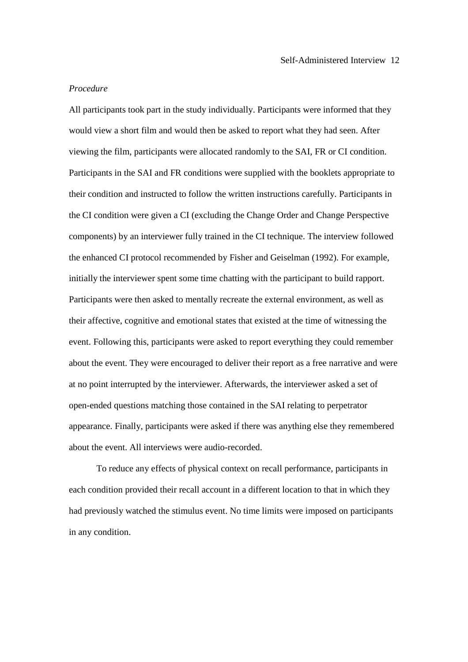### *Procedure*

All participants took part in the study individually. Participants were informed that they would view a short film and would then be asked to report what they had seen. After viewing the film, participants were allocated randomly to the SAI, FR or CI condition. Participants in the SAI and FR conditions were supplied with the booklets appropriate to their condition and instructed to follow the written instructions carefully. Participants in the CI condition were given a CI (excluding the Change Order and Change Perspective components) by an interviewer fully trained in the CI technique. The interview followed the enhanced CI protocol recommended by Fisher and Geiselman (1992). For example, initially the interviewer spent some time chatting with the participant to build rapport. Participants were then asked to mentally recreate the external environment, as well as their affective, cognitive and emotional states that existed at the time of witnessing the event. Following this, participants were asked to report everything they could remember about the event. They were encouraged to deliver their report as a free narrative and were at no point interrupted by the interviewer. Afterwards, the interviewer asked a set of open-ended questions matching those contained in the SAI relating to perpetrator appearance. Finally, participants were asked if there was anything else they remembered about the event. All interviews were audio-recorded.

 To reduce any effects of physical context on recall performance, participants in each condition provided their recall account in a different location to that in which they had previously watched the stimulus event. No time limits were imposed on participants in any condition.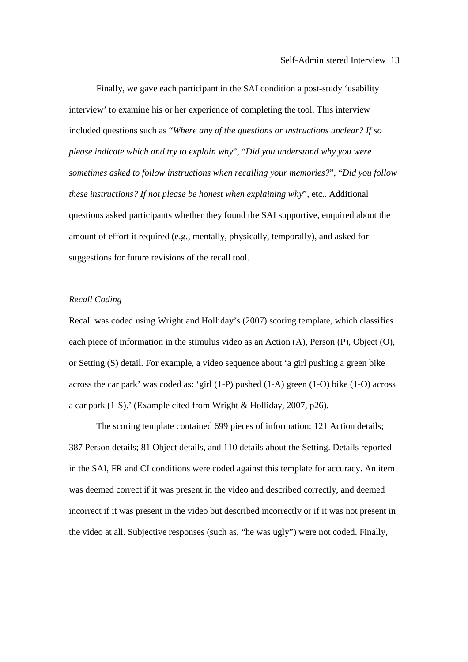Finally, we gave each participant in the SAI condition a post-study 'usability interview' to examine his or her experience of completing the tool. This interview included questions such as "*Where any of the questions or instructions unclear? If so please indicate which and try to explain why*", "*Did you understand why you were sometimes asked to follow instructions when recalling your memories?*", "*Did you follow these instructions? If not please be honest when explaining why*", etc.. Additional questions asked participants whether they found the SAI supportive, enquired about the amount of effort it required (e.g., mentally, physically, temporally), and asked for suggestions for future revisions of the recall tool.

## *Recall Coding*

Recall was coded using Wright and Holliday's (2007) scoring template, which classifies each piece of information in the stimulus video as an Action (A), Person (P), Object (O), or Setting (S) detail. For example, a video sequence about 'a girl pushing a green bike across the car park' was coded as: 'girl  $(1-P)$  pushed  $(1-A)$  green  $(1-O)$  bike  $(1-O)$  across a car park (1-S).' (Example cited from Wright & Holliday, 2007, p26).

 The scoring template contained 699 pieces of information: 121 Action details; 387 Person details; 81 Object details, and 110 details about the Setting. Details reported in the SAI, FR and CI conditions were coded against this template for accuracy. An item was deemed correct if it was present in the video and described correctly, and deemed incorrect if it was present in the video but described incorrectly or if it was not present in the video at all. Subjective responses (such as, "he was ugly") were not coded. Finally,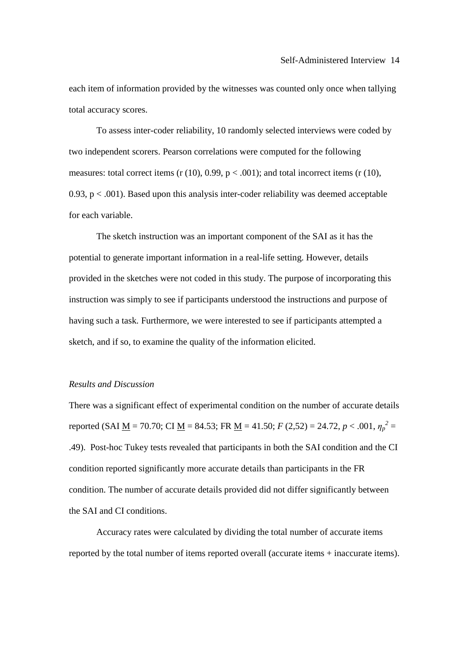each item of information provided by the witnesses was counted only once when tallying total accuracy scores.

To assess inter-coder reliability, 10 randomly selected interviews were coded by two independent scorers. Pearson correlations were computed for the following measures: total correct items (r (10), 0.99,  $p < .001$ ); and total incorrect items (r (10), 0.93,  $p < .001$ ). Based upon this analysis inter-coder reliability was deemed acceptable for each variable.

 The sketch instruction was an important component of the SAI as it has the potential to generate important information in a real-life setting. However, details provided in the sketches were not coded in this study. The purpose of incorporating this instruction was simply to see if participants understood the instructions and purpose of having such a task. Furthermore, we were interested to see if participants attempted a sketch, and if so, to examine the quality of the information elicited.

## *Results and Discussion*

There was a significant effect of experimental condition on the number of accurate details reported (SAI <u>M</u> = 70.70; CI <u>M</u> = 84.53; FR <u>M</u> = 41.50; *F* (2,52) = 24.72, *p* < .001,  $\eta_p^2$  = .49). Post-hoc Tukey tests revealed that participants in both the SAI condition and the CI condition reported significantly more accurate details than participants in the FR condition. The number of accurate details provided did not differ significantly between the SAI and CI conditions.

 Accuracy rates were calculated by dividing the total number of accurate items reported by the total number of items reported overall (accurate items + inaccurate items).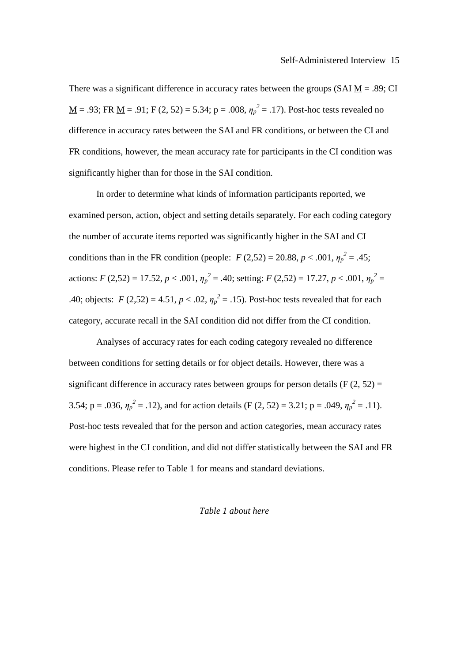There was a significant difference in accuracy rates between the groups (SAI  $M = .89$ ; CI <u>M</u> = .93; FR <u>M</u> = .91; F (2, 52) = 5.34; p = .008,  $\eta_p^2$  = .17). Post-hoc tests revealed no difference in accuracy rates between the SAI and FR conditions, or between the CI and FR conditions, however, the mean accuracy rate for participants in the CI condition was significantly higher than for those in the SAI condition.

 In order to determine what kinds of information participants reported, we examined person, action, object and setting details separately. For each coding category the number of accurate items reported was significantly higher in the SAI and CI conditions than in the FR condition (people: *F* (2,52) = 20.88, *p* < .001,  $\eta_p^2 = .45$ ; actions: *F* (2,52) = 17.52, *p* < .001,  $\eta_p^2$  = .40; setting: *F* (2,52) = 17.27, *p* < .001,  $\eta_p^2$  = .40; objects:  $F(2,52) = 4.51, p < .02, \eta_p^2 = .15$ ). Post-hoc tests revealed that for each category, accurate recall in the SAI condition did not differ from the CI condition.

 Analyses of accuracy rates for each coding category revealed no difference between conditions for setting details or for object details. However, there was a significant difference in accuracy rates between groups for person details (F  $(2, 52)$ ) = 3.54; p = .036,  $\eta_p^2$  = .12), and for action details (F (2, 52) = 3.21; p = .049,  $\eta_p^2$  = .11). Post-hoc tests revealed that for the person and action categories, mean accuracy rates were highest in the CI condition, and did not differ statistically between the SAI and FR conditions. Please refer to Table 1 for means and standard deviations.

## *Table 1 about here*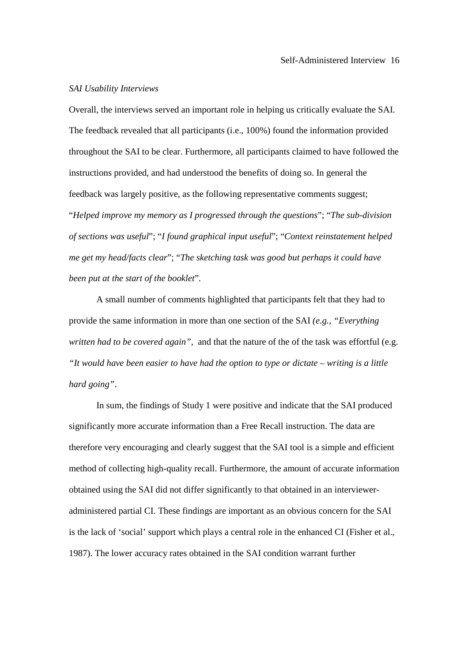### *SAI Usability Interviews*

Overall, the interviews served an important role in helping us critically evaluate the SAI. The feedback revealed that all participants (i.e., 100%) found the information provided throughout the SAI to be clear. Furthermore, all participants claimed to have followed the instructions provided, and had understood the benefits of doing so. In general the feedback was largely positive, as the following representative comments suggest; "*Helped improve my memory as I progressed through the questions*"; "*The sub-division of sections was useful*"; "*I found graphical input useful*"; "*Context reinstatement helped me get my head/facts clear*"; "*The sketching task was good but perhaps it could have been put at the start of the booklet*".

A small number of comments highlighted that participants felt that they had to provide the same information in more than one section of the SAI *(e.g., "Everything written had to be covered again"*, and that the nature of the of the task was effortful (e.g. *"It would have been easier to have had the option to type or dictate – writing is a little hard going"*.

In sum, the findings of Study 1 were positive and indicate that the SAI produced significantly more accurate information than a Free Recall instruction. The data are therefore very encouraging and clearly suggest that the SAI tool is a simple and efficient method of collecting high-quality recall. Furthermore, the amount of accurate information obtained using the SAI did not differ significantly to that obtained in an intervieweradministered partial CI. These findings are important as an obvious concern for the SAI is the lack of 'social' support which plays a central role in the enhanced CI (Fisher et al., 1987). The lower accuracy rates obtained in the SAI condition warrant further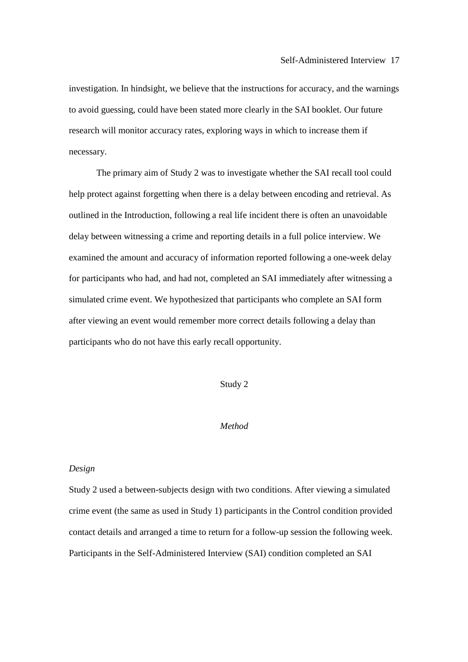investigation. In hindsight, we believe that the instructions for accuracy, and the warnings to avoid guessing, could have been stated more clearly in the SAI booklet. Our future research will monitor accuracy rates, exploring ways in which to increase them if necessary.

The primary aim of Study 2 was to investigate whether the SAI recall tool could help protect against forgetting when there is a delay between encoding and retrieval. As outlined in the Introduction, following a real life incident there is often an unavoidable delay between witnessing a crime and reporting details in a full police interview. We examined the amount and accuracy of information reported following a one-week delay for participants who had, and had not, completed an SAI immediately after witnessing a simulated crime event. We hypothesized that participants who complete an SAI form after viewing an event would remember more correct details following a delay than participants who do not have this early recall opportunity.

# Study 2

## *Method*

#### *Design*

Study 2 used a between-subjects design with two conditions. After viewing a simulated crime event (the same as used in Study 1) participants in the Control condition provided contact details and arranged a time to return for a follow-up session the following week. Participants in the Self-Administered Interview (SAI) condition completed an SAI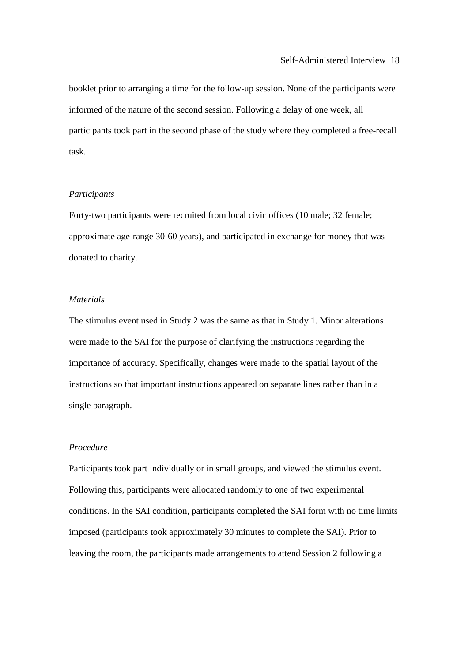booklet prior to arranging a time for the follow-up session. None of the participants were informed of the nature of the second session. Following a delay of one week, all participants took part in the second phase of the study where they completed a free-recall task.

# *Participants*

Forty-two participants were recruited from local civic offices (10 male; 32 female; approximate age-range 30-60 years), and participated in exchange for money that was donated to charity.

## *Materials*

The stimulus event used in Study 2 was the same as that in Study 1. Minor alterations were made to the SAI for the purpose of clarifying the instructions regarding the importance of accuracy. Specifically, changes were made to the spatial layout of the instructions so that important instructions appeared on separate lines rather than in a single paragraph.

## *Procedure*

Participants took part individually or in small groups, and viewed the stimulus event. Following this, participants were allocated randomly to one of two experimental conditions. In the SAI condition, participants completed the SAI form with no time limits imposed (participants took approximately 30 minutes to complete the SAI). Prior to leaving the room, the participants made arrangements to attend Session 2 following a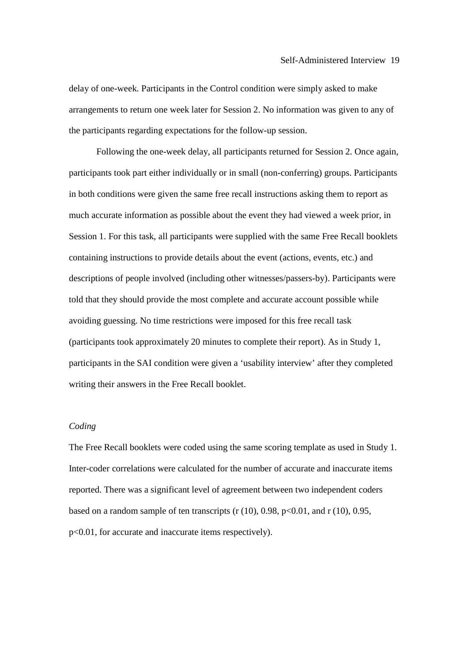delay of one-week. Participants in the Control condition were simply asked to make arrangements to return one week later for Session 2. No information was given to any of the participants regarding expectations for the follow-up session.

 Following the one-week delay, all participants returned for Session 2. Once again, participants took part either individually or in small (non-conferring) groups. Participants in both conditions were given the same free recall instructions asking them to report as much accurate information as possible about the event they had viewed a week prior, in Session 1. For this task, all participants were supplied with the same Free Recall booklets containing instructions to provide details about the event (actions, events, etc.) and descriptions of people involved (including other witnesses/passers-by). Participants were told that they should provide the most complete and accurate account possible while avoiding guessing. No time restrictions were imposed for this free recall task (participants took approximately 20 minutes to complete their report). As in Study 1, participants in the SAI condition were given a 'usability interview' after they completed writing their answers in the Free Recall booklet.

## *Coding*

The Free Recall booklets were coded using the same scoring template as used in Study 1. Inter-coder correlations were calculated for the number of accurate and inaccurate items reported. There was a significant level of agreement between two independent coders based on a random sample of ten transcripts  $(r (10), 0.98, p<0.01,$  and  $r (10), 0.95,$ p<0.01, for accurate and inaccurate items respectively).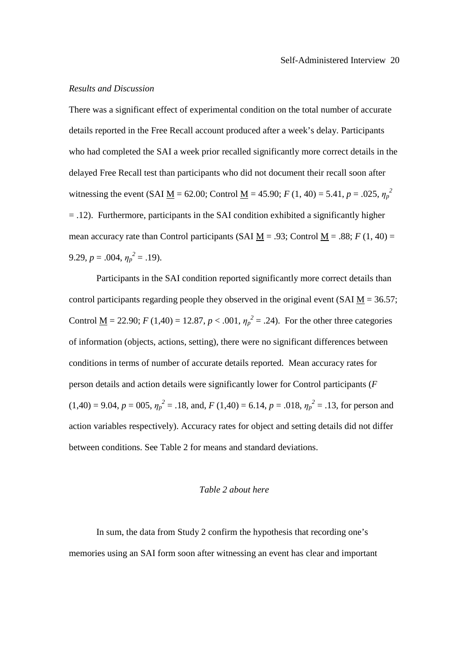### *Results and Discussion*

There was a significant effect of experimental condition on the total number of accurate details reported in the Free Recall account produced after a week's delay. Participants who had completed the SAI a week prior recalled significantly more correct details in the delayed Free Recall test than participants who did not document their recall soon after witnessing the event (SAI <u>M</u> = 62.00; Control <u>M</u> = 45.90; *F* (1, 40) = 5.41, *p* = .025,  $\eta_p^2$ = .12). Furthermore, participants in the SAI condition exhibited a significantly higher mean accuracy rate than Control participants (SAI  $M = .93$ ; Control  $M = .88$ ;  $F(1, 40) =$ 9.29,  $p = .004$ ,  $\eta_p^2 = .19$ ).

 Participants in the SAI condition reported significantly more correct details than control participants regarding people they observed in the original event (SAI  $M = 36.57$ ; Control <u>M</u> = 22.90; *F* (1,40) = 12.87, *p* < .001,  $\eta_p^2$  = .24). For the other three categories of information (objects, actions, setting), there were no significant differences between conditions in terms of number of accurate details reported. Mean accuracy rates for person details and action details were significantly lower for Control participants (*F*   $(1,40) = 9.04$ ,  $p = 005$ ,  $\eta_p^2 = .18$ , and,  $F(1,40) = 6.14$ ,  $p = .018$ ,  $\eta_p^2 = .13$ , for person and action variables respectively). Accuracy rates for object and setting details did not differ between conditions. See Table 2 for means and standard deviations.

### *Table 2 about here*

In sum, the data from Study 2 confirm the hypothesis that recording one's memories using an SAI form soon after witnessing an event has clear and important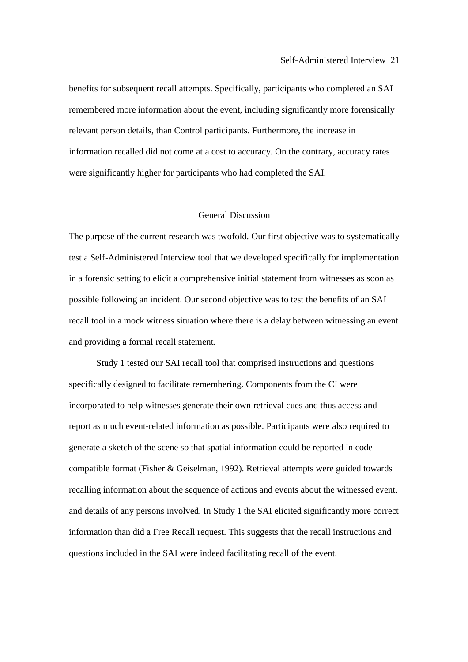benefits for subsequent recall attempts. Specifically, participants who completed an SAI remembered more information about the event, including significantly more forensically relevant person details, than Control participants. Furthermore, the increase in information recalled did not come at a cost to accuracy. On the contrary, accuracy rates were significantly higher for participants who had completed the SAI.

## General Discussion

The purpose of the current research was twofold. Our first objective was to systematically test a Self-Administered Interview tool that we developed specifically for implementation in a forensic setting to elicit a comprehensive initial statement from witnesses as soon as possible following an incident. Our second objective was to test the benefits of an SAI recall tool in a mock witness situation where there is a delay between witnessing an event and providing a formal recall statement.

Study 1 tested our SAI recall tool that comprised instructions and questions specifically designed to facilitate remembering. Components from the CI were incorporated to help witnesses generate their own retrieval cues and thus access and report as much event-related information as possible. Participants were also required to generate a sketch of the scene so that spatial information could be reported in codecompatible format (Fisher & Geiselman, 1992). Retrieval attempts were guided towards recalling information about the sequence of actions and events about the witnessed event, and details of any persons involved. In Study 1 the SAI elicited significantly more correct information than did a Free Recall request. This suggests that the recall instructions and questions included in the SAI were indeed facilitating recall of the event.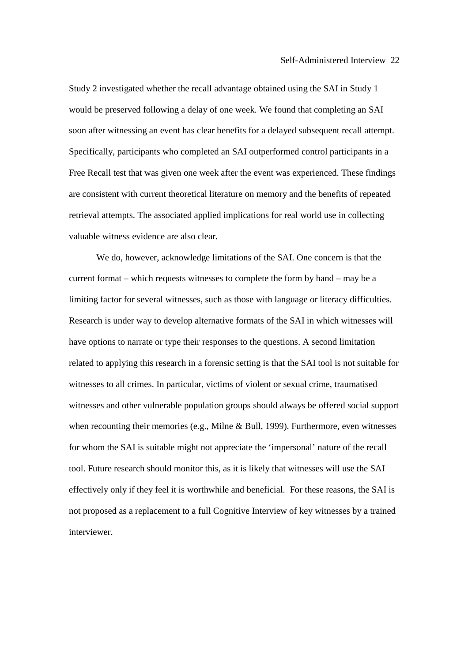Study 2 investigated whether the recall advantage obtained using the SAI in Study 1 would be preserved following a delay of one week. We found that completing an SAI soon after witnessing an event has clear benefits for a delayed subsequent recall attempt. Specifically, participants who completed an SAI outperformed control participants in a Free Recall test that was given one week after the event was experienced. These findings are consistent with current theoretical literature on memory and the benefits of repeated retrieval attempts. The associated applied implications for real world use in collecting valuable witness evidence are also clear.

We do, however, acknowledge limitations of the SAI. One concern is that the current format – which requests witnesses to complete the form by hand – may be a limiting factor for several witnesses, such as those with language or literacy difficulties. Research is under way to develop alternative formats of the SAI in which witnesses will have options to narrate or type their responses to the questions. A second limitation related to applying this research in a forensic setting is that the SAI tool is not suitable for witnesses to all crimes. In particular, victims of violent or sexual crime, traumatised witnesses and other vulnerable population groups should always be offered social support when recounting their memories (e.g., Milne & Bull, 1999). Furthermore, even witnesses for whom the SAI is suitable might not appreciate the 'impersonal' nature of the recall tool. Future research should monitor this, as it is likely that witnesses will use the SAI effectively only if they feel it is worthwhile and beneficial. For these reasons, the SAI is not proposed as a replacement to a full Cognitive Interview of key witnesses by a trained interviewer.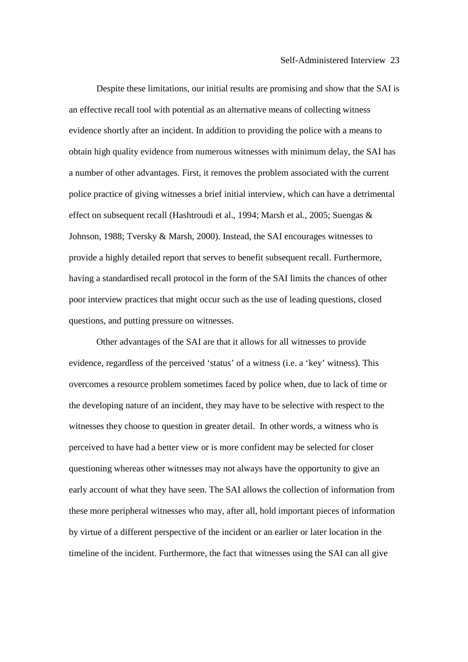Despite these limitations, our initial results are promising and show that the SAI is an effective recall tool with potential as an alternative means of collecting witness evidence shortly after an incident. In addition to providing the police with a means to obtain high quality evidence from numerous witnesses with minimum delay, the SAI has a number of other advantages. First, it removes the problem associated with the current police practice of giving witnesses a brief initial interview, which can have a detrimental effect on subsequent recall (Hashtroudi et al., 1994; Marsh et al., 2005; Suengas & Johnson, 1988; Tversky & Marsh, 2000). Instead, the SAI encourages witnesses to provide a highly detailed report that serves to benefit subsequent recall. Furthermore, having a standardised recall protocol in the form of the SAI limits the chances of other poor interview practices that might occur such as the use of leading questions, closed questions, and putting pressure on witnesses.

Other advantages of the SAI are that it allows for all witnesses to provide evidence, regardless of the perceived 'status' of a witness (i.e. a 'key' witness). This overcomes a resource problem sometimes faced by police when, due to lack of time or the developing nature of an incident, they may have to be selective with respect to the witnesses they choose to question in greater detail. In other words, a witness who is perceived to have had a better view or is more confident may be selected for closer questioning whereas other witnesses may not always have the opportunity to give an early account of what they have seen. The SAI allows the collection of information from these more peripheral witnesses who may, after all, hold important pieces of information by virtue of a different perspective of the incident or an earlier or later location in the timeline of the incident. Furthermore, the fact that witnesses using the SAI can all give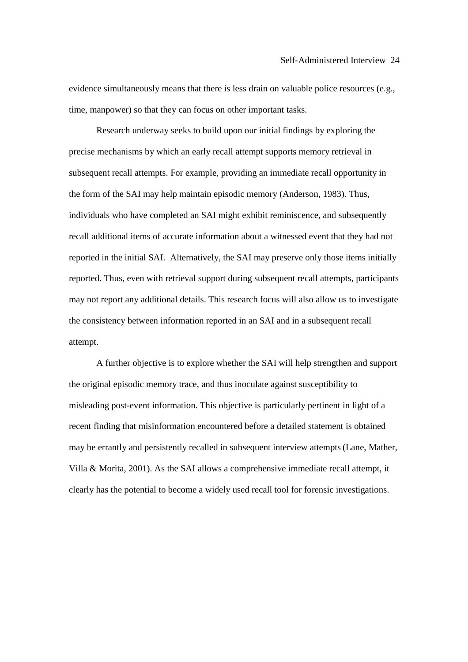evidence simultaneously means that there is less drain on valuable police resources (e.g., time, manpower) so that they can focus on other important tasks.

Research underway seeks to build upon our initial findings by exploring the precise mechanisms by which an early recall attempt supports memory retrieval in subsequent recall attempts. For example, providing an immediate recall opportunity in the form of the SAI may help maintain episodic memory (Anderson, 1983). Thus, individuals who have completed an SAI might exhibit reminiscence, and subsequently recall additional items of accurate information about a witnessed event that they had not reported in the initial SAI. Alternatively, the SAI may preserve only those items initially reported. Thus, even with retrieval support during subsequent recall attempts, participants may not report any additional details. This research focus will also allow us to investigate the consistency between information reported in an SAI and in a subsequent recall attempt.

A further objective is to explore whether the SAI will help strengthen and support the original episodic memory trace, and thus inoculate against susceptibility to misleading post-event information. This objective is particularly pertinent in light of a recent finding that misinformation encountered before a detailed statement is obtained may be errantly and persistently recalled in subsequent interview attempts(Lane, Mather, Villa & Morita, 2001). As the SAI allows a comprehensive immediate recall attempt, it clearly has the potential to become a widely used recall tool for forensic investigations.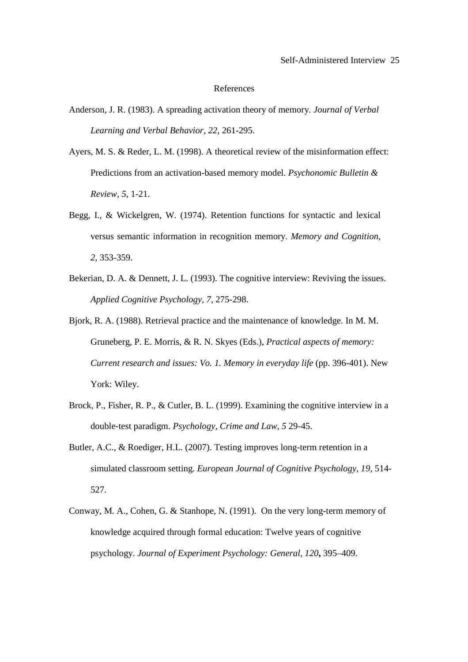#### References

- Anderson, J. R. (1983). A spreading activation theory of memory. *Journal of Verbal Learning and Verbal Behavior, 22,* 261-295.
- Ayers, M. S. & Reder, L. M. (1998). A theoretical review of the misinformation effect: Predictions from an activation-based memory model*. Psychonomic Bulletin & Review, 5,* 1-21.
- Begg, I., & Wickelgren, W. (1974). Retention functions for syntactic and lexical versus semantic information in recognition memory. *Memory and Cognition, 2,* 353-359.
- Bekerian, D. A. & Dennett, J. L. (1993). The cognitive interview: Reviving the issues. *Applied Cognitive Psychology, 7*, 275-298.
- Bjork, R. A. (1988). Retrieval practice and the maintenance of knowledge. In M. M. Gruneberg, P. E. Morris, & R. N. Skyes (Eds.), *Practical aspects of memory: Current research and issues: Vo. 1. Memory in everyday life (pp. 396-401). New* York: Wiley.
- Brock, P., Fisher, R. P., & Cutler, B. L. (1999). Examining the cognitive interview in a double-test paradigm. *Psychology, Crime and Law, 5* 29-45.
- Butler, A.C., & Roediger, H.L. (2007). Testing improves long-term retention in a simulated classroom setting. *European Journal of Cognitive Psychology*, *19*, 514- 527.
- Conway, M. A., Cohen, G. & Stanhope, N. (1991). On the very long-term memory of knowledge acquired through formal education: Twelve years of cognitive psychology. *Journal of Experiment Psychology: General, 120***,** 395–409.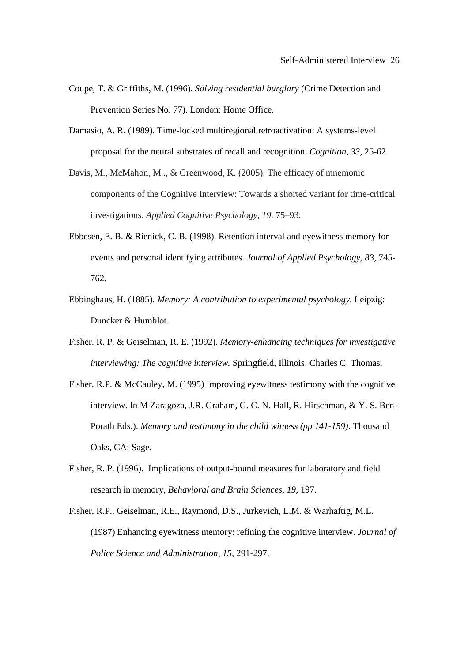- Coupe, T. & Griffiths, M. (1996). *Solving residential burglary* (Crime Detection and Prevention Series No. 77). London: Home Office.
- Damasio, A. R. (1989). Time-locked multiregional retroactivation: A systems-level proposal for the neural substrates of recall and recognition. *Cognition, 33,* 25-62.
- Davis, M., McMahon, M.., & Greenwood, K. (2005). The efficacy of mnemonic components of the Cognitive Interview: Towards a shorted variant for time-critical investigations. *Applied Cognitive Psychology, 19,* 75–93.
- Ebbesen, E. B. & Rienick, C. B. (1998). Retention interval and eyewitness memory for events and personal identifying attributes. *Journal of Applied Psychology, 83,* 745- 762.
- Ebbinghaus, H. (1885). *Memory: A contribution to experimental psychology.* Leipzig: Duncker & Humblot.
- Fisher. R. P. & Geiselman, R. E. (1992). *Memory-enhancing techniques for investigative interviewing: The cognitive interview.* Springfield, Illinois: Charles C. Thomas.
- Fisher, R.P. & McCauley, M. (1995) Improving eyewitness testimony with the cognitive interview. In M Zaragoza, J.R. Graham, G. C. N. Hall, R. Hirschman, & Y. S. Ben-Porath Eds.). *Memory and testimony in the child witness (pp 141-159)*. Thousand Oaks, CA: Sage.
- Fisher, R. P. (1996). Implications of output-bound measures for laboratory and field research in memory, *Behavioral and Brain Sciences, 19*, 197.
- Fisher, R.P., Geiselman, R.E., Raymond, D.S., Jurkevich, L.M. & Warhaftig, M.L. (1987) Enhancing eyewitness memory: refining the cognitive interview. *Journal of Police Science and Administration, 15,* 291-297.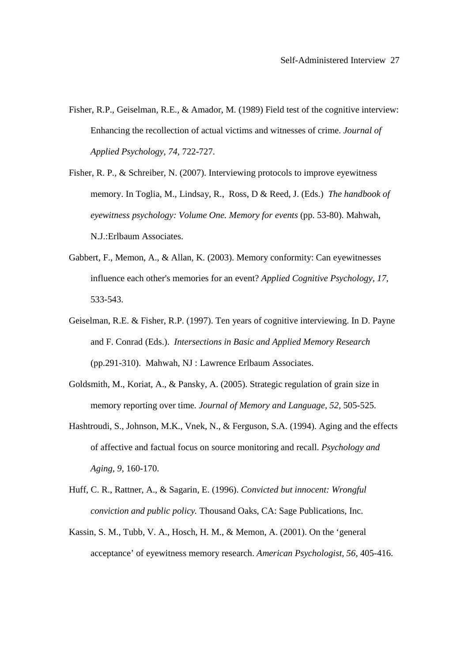- Fisher, R.P., Geiselman, R.E., & Amador, M. (1989) Field test of the cognitive interview: Enhancing the recollection of actual victims and witnesses of crime. *Journal of Applied Psychology, 74,* 722-727.
- Fisher, R. P., & Schreiber, N. (2007). Interviewing protocols to improve eyewitness memory. In Toglia, M., Lindsay, R., Ross, D & Reed, J. (Eds.) *The handbook of eyewitness psychology: Volume One. Memory for events* (pp. 53-80). Mahwah, N.J.:Erlbaum Associates.
- Gabbert, F., Memon, A., & Allan, K. (2003). Memory conformity: Can eyewitnesses influence each other's memories for an event? *Applied Cognitive Psychology, 17,* 533-543.
- Geiselman, R.E. & Fisher, R.P. (1997). Ten years of cognitive interviewing. In D. Payne and F. Conrad (Eds.). *Intersections in Basic and Applied Memory Research* (pp.291-310). Mahwah, NJ : Lawrence Erlbaum Associates.
- Goldsmith, M., Koriat, A., & Pansky, A. (2005). Strategic regulation of grain size in memory reporting over time*. Journal of Memory and Language, 52,* 505-525.
- Hashtroudi, S., Johnson, M.K., Vnek, N., & Ferguson, S.A. (1994). Aging and the effects of affective and factual focus on source monitoring and recall. *Psychology and Aging, 9,* 160-170.
- Huff, C. R., Rattner, A., & Sagarin, E. (1996). *Convicted but innocent: Wrongful conviction and public policy.* Thousand Oaks, CA: Sage Publications, Inc.
- Kassin, S. M., Tubb, V. A., Hosch, H. M., & Memon, A. (2001). On the 'general acceptance' of eyewitness memory research. *American Psychologist, 56,* 405-416.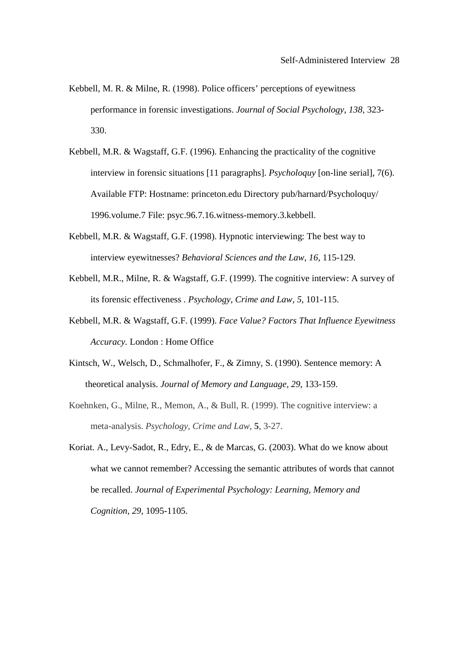- Kebbell, M. R. & Milne, R. (1998). Police officers' perceptions of eyewitness performance in forensic investigations. *Journal of Social Psychology, 138,* 323- 330.
- Kebbell, M.R. & Wagstaff, G.F. (1996). Enhancing the practicality of the cognitive interview in forensic situations [11 paragraphs]. *Psycholoquy* [on-line serial], 7(6). Available FTP: Hostname: princeton.edu Directory pub/harnard/Psycholoquy/ 1996.volume.7 File: psyc.96.7.16.witness-memory.3.kebbell.
- Kebbell, M.R. & Wagstaff, G.F. (1998). Hypnotic interviewing: The best way to interview eyewitnesses? *Behavioral Sciences and the Law, 16,* 115-129.
- Kebbell, M.R., Milne, R. & Wagstaff, G.F. (1999). The cognitive interview: A survey of its forensic effectiveness *. Psychology, Crime and Law, 5,* 101-115.
- Kebbell, M.R. & Wagstaff, G.F. (1999). *Face Value? Factors That Influence Eyewitness Accuracy.* London : Home Office
- Kintsch, W., Welsch, D., Schmalhofer, F., & Zimny, S. (1990). Sentence memory: A theoretical analysis. *Journal of Memory and Language, 29*, 133-159.
- Koehnken, G., Milne, R., Memon, A., & Bull, R. (1999). The cognitive interview: a meta-analysis. *Psychology, Crime and Law*, **5**, 3-27.
- Koriat. A., Levy-Sadot, R., Edry, E., & de Marcas, G. (2003). What do we know about what we cannot remember? Accessing the semantic attributes of words that cannot be recalled. *Journal of Experimental Psychology: Learning, Memory and Cognition, 29*, 1095-1105.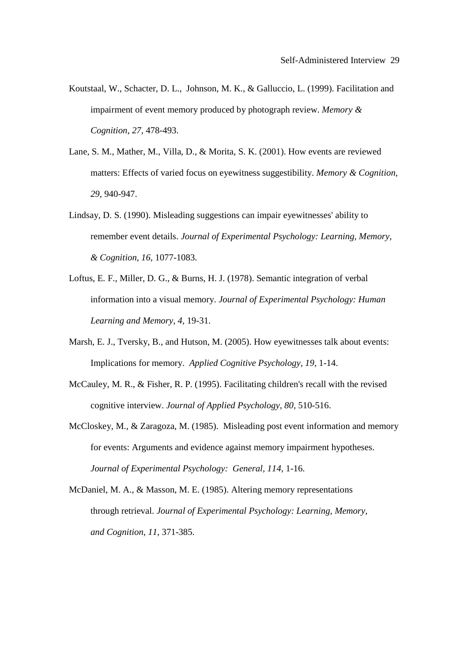- Koutstaal, W., Schacter, D. L., Johnson, M. K., & Galluccio, L. (1999). Facilitation and impairment of event memory produced by photograph review. *Memory & Cognition, 27,* 478-493.
- Lane, S. M., Mather, M., Villa, D., & Morita, S. K. (2001). How events are reviewed matters: Effects of varied focus on eyewitness suggestibility. *Memory & Cognition, 29,* 940-947.
- Lindsay, D. S. (1990). Misleading suggestions can impair eyewitnesses' ability to remember event details. *Journal of Experimental Psychology: Learning, Memory, & Cognition, 16,* 1077-1083.
- Loftus, E. F., Miller, D. G., & Burns, H. J. (1978). Semantic integration of verbal information into a visual memory. *Journal of Experimental Psychology: Human Learning and Memory, 4,* 19-31.
- Marsh, E. J., Tversky, B., and Hutson, M. (2005). How eyewitnesses talk about events: Implications for memory. *Applied Cognitive Psychology, 19*, 1-14.
- McCauley, M. R., & Fisher, R. P. (1995). Facilitating children's recall with the revised cognitive interview. *Journal of Applied Psychology, 80,* 510-516.
- McCloskey, M., & Zaragoza, M. (1985). Misleading post event information and memory for events: Arguments and evidence against memory impairment hypotheses. *Journal of Experimental Psychology: General, 114,* 1-16.
- McDaniel, M. A., & Masson, M. E. (1985). Altering memory representations through retrieval. *Journal of Experimental Psychology: Learning, Memory, and Cognition, 11,* 371-385.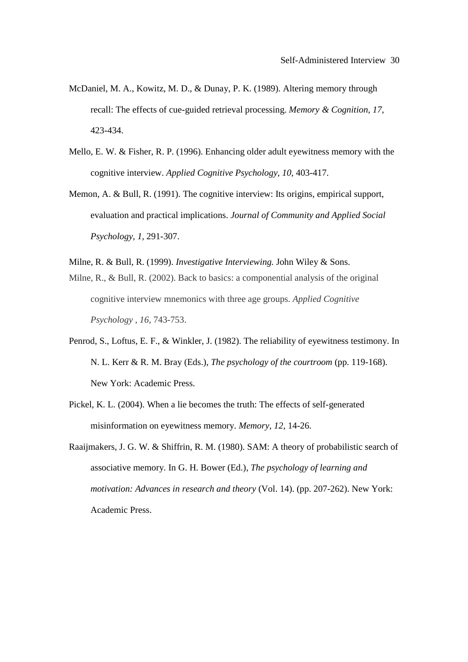- McDaniel, M. A., Kowitz, M. D., & Dunay, P. K. (1989). Altering memory through recall: The effects of cue-guided retrieval processing. *Memory & Cognition, 17,*  423-434.
- Mello, E. W. & Fisher, R. P. (1996). Enhancing older adult eyewitness memory with the cognitive interview. *Applied Cognitive Psychology, 10,* 403-417.
- Memon, A. & Bull, R. (1991). The cognitive interview: Its origins, empirical support, evaluation and practical implications. *Journal of Community and Applied Social Psychology, 1,* 291-307.
- Milne, R. & Bull, R. (1999). *Investigative Interviewing.* John Wiley & Sons.
- Milne, R., & Bull, R. (2002). Back to basics: a componential analysis of the original cognitive interview mnemonics with three age groups. *Applied Cognitive Psychology , 16,* 743-753.
- Penrod, S., Loftus, E. F., & Winkler, J. (1982). The reliability of eyewitness testimony. In N. L. Kerr & R. M. Bray (Eds.), *The psychology of the courtroom* (pp. 119-168). New York: Academic Press.
- Pickel, K. L. (2004). When a lie becomes the truth: The effects of self-generated misinformation on eyewitness memory. *Memory, 12*, 14-26.
- Raaijmakers, J. G. W. & Shiffrin, R. M. (1980). SAM: A theory of probabilistic search of associative memory. In G. H. Bower (Ed.), *The psychology of learning and motivation: Advances in research and theory* (Vol. 14). (pp. 207-262). New York: Academic Press.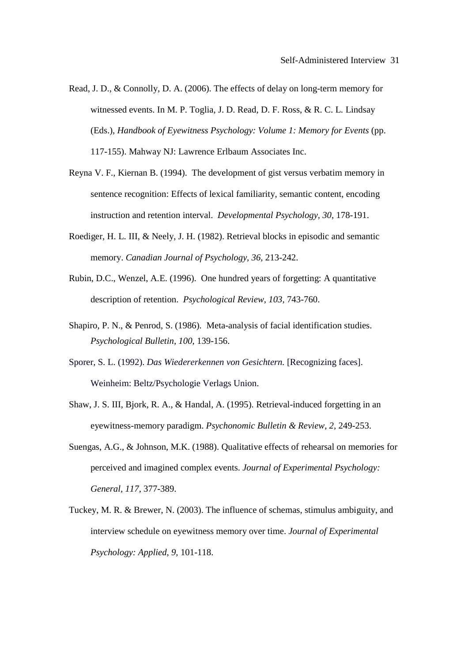- Read, J. D., & Connolly, D. A. (2006). The effects of delay on long-term memory for witnessed events. In M. P. Toglia, J. D. Read, D. F. Ross, & R. C. L. Lindsay (Eds.), *Handbook of Eyewitness Psychology: Volume 1: Memory for Events* (pp. 117-155). Mahway NJ: Lawrence Erlbaum Associates Inc.
- Reyna V. F., Kiernan B. (1994). The development of gist versus verbatim memory in sentence recognition: Effects of lexical familiarity, semantic content, encoding instruction and retention interval. *Developmental Psychology, 30*, 178-191.
- Roediger, H. L. III, & Neely, J. H. (1982). Retrieval blocks in episodic and semantic memory. *Canadian Journal of Psychology, 36,* 213-242.
- Rubin, D.C., Wenzel, A.E. (1996). One hundred years of forgetting: A quantitative description of retention. *Psychological Review, 103,* 743-760.
- Shapiro, P. N., & Penrod, S. (1986). Meta-analysis of facial identification studies. *Psychological Bulletin, 100,* 139-156.
- Sporer, S. L. (1992). *Das Wiedererkennen von Gesichtern.* [Recognizing faces]. Weinheim: Beltz/Psychologie Verlags Union.
- Shaw, J. S. III, Bjork, R. A., & Handal, A. (1995). Retrieval-induced forgetting in an eyewitness-memory paradigm. *Psychonomic Bulletin & Review, 2,* 249-253.
- Suengas, A.G., & Johnson, M.K. (1988). Qualitative effects of rehearsal on memories for perceived and imagined complex events. *Journal of Experimental Psychology: General, 117*, 377-389.
- Tuckey, M. R. & Brewer, N. (2003). The influence of schemas, stimulus ambiguity, and interview schedule on eyewitness memory over time. *Journal of Experimental Psychology: Applied, 9,* 101-118.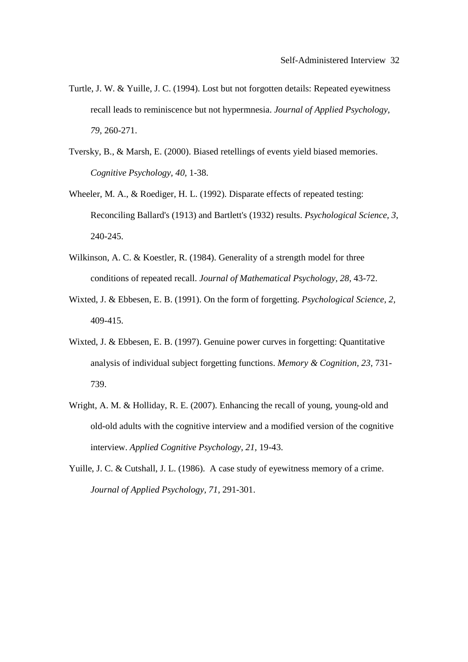- Turtle, J. W. & Yuille, J. C. (1994). Lost but not forgotten details: Repeated eyewitness recall leads to reminiscence but not hypermnesia. *Journal of Applied Psychology, 79,* 260-271.
- Tversky, B., & Marsh, E. (2000). Biased retellings of events yield biased memories. *Cognitive Psychology, 40,* 1-38.
- Wheeler, M. A., & Roediger, H. L. (1992). Disparate effects of repeated testing: Reconciling Ballard's (1913) and Bartlett's (1932) results. *Psychological Science, 3*, 240-245.
- Wilkinson, A. C. & Koestler, R. (1984). Generality of a strength model for three conditions of repeated recall. *Journal of Mathematical Psychology, 28,* 43-72.
- Wixted, J. & Ebbesen, E. B. (1991). On the form of forgetting. *Psychological Science, 2,* 409-415.
- Wixted, J. & Ebbesen, E. B. (1997). Genuine power curves in forgetting: Quantitative analysis of individual subject forgetting functions. *Memory & Cognition, 23,* 731- 739.
- Wright, A. M. & Holliday, R. E. (2007). Enhancing the recall of young, young-old and old-old adults with the cognitive interview and a modified version of the cognitive interview. *Applied Cognitive Psychology, 21,* 19-43.
- Yuille, J. C. & Cutshall, J. L. (1986). A case study of eyewitness memory of a crime. *Journal of Applied Psychology, 71,* 291-301.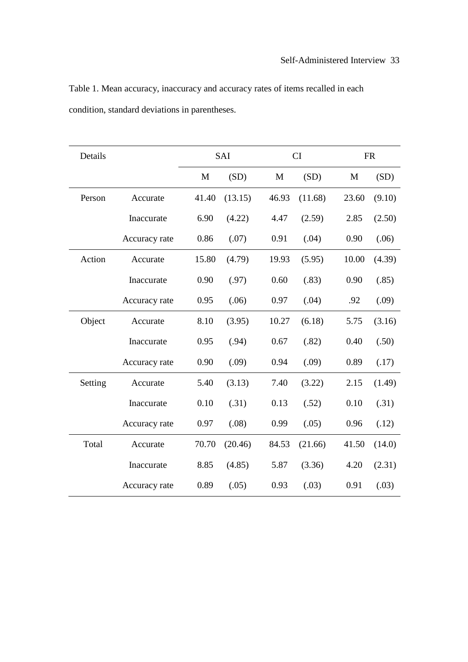| Table 1. Mean accuracy, inaccuracy and accuracy rates of items recalled in each |  |
|---------------------------------------------------------------------------------|--|
| condition, standard deviations in parentheses.                                  |  |

| Details |               | SAI   |         | CI    |         |       | <b>FR</b> |
|---------|---------------|-------|---------|-------|---------|-------|-----------|
|         |               | M     | (SD)    | M     | (SD)    | M     | (SD)      |
| Person  | Accurate      | 41.40 | (13.15) | 46.93 | (11.68) | 23.60 | (9.10)    |
|         | Inaccurate    | 6.90  | (4.22)  | 4.47  | (2.59)  | 2.85  | (2.50)    |
|         | Accuracy rate | 0.86  | (.07)   | 0.91  | (.04)   | 0.90  | (.06)     |
| Action  | Accurate      | 15.80 | (4.79)  | 19.93 | (5.95)  | 10.00 | (4.39)    |
|         | Inaccurate    | 0.90  | (.97)   | 0.60  | (.83)   | 0.90  | (.85)     |
|         | Accuracy rate | 0.95  | (.06)   | 0.97  | (.04)   | .92   | (.09)     |
| Object  | Accurate      | 8.10  | (3.95)  | 10.27 | (6.18)  | 5.75  | (3.16)    |
|         | Inaccurate    | 0.95  | (.94)   | 0.67  | (.82)   | 0.40  | (.50)     |
|         | Accuracy rate | 0.90  | (.09)   | 0.94  | (.09)   | 0.89  | (.17)     |
| Setting | Accurate      | 5.40  | (3.13)  | 7.40  | (3.22)  | 2.15  | (1.49)    |
|         | Inaccurate    | 0.10  | (.31)   | 0.13  | (.52)   | 0.10  | (.31)     |
|         | Accuracy rate | 0.97  | (.08)   | 0.99  | (.05)   | 0.96  | (.12)     |
| Total   | Accurate      | 70.70 | (20.46) | 84.53 | (21.66) | 41.50 | (14.0)    |
|         | Inaccurate    | 8.85  | (4.85)  | 5.87  | (3.36)  | 4.20  | (2.31)    |
|         | Accuracy rate | 0.89  | (.05)   | 0.93  | (.03)   | 0.91  | (.03)     |